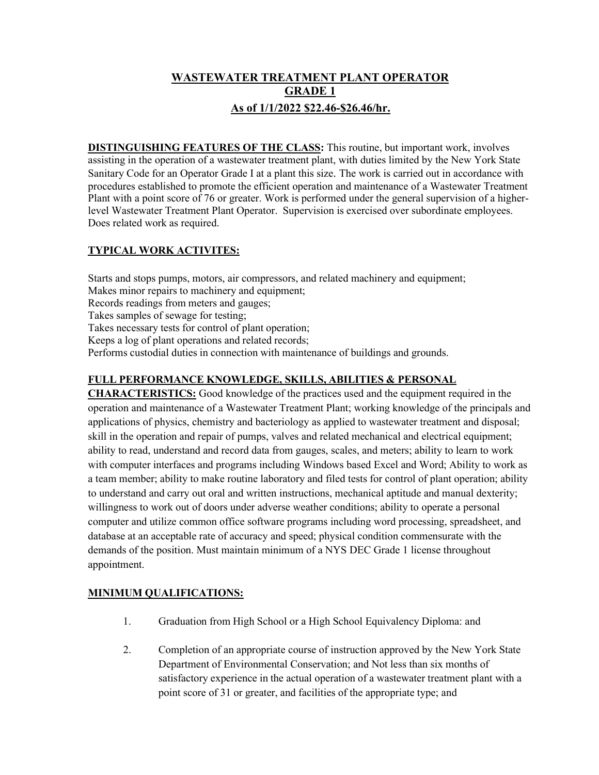# **WASTEWATER TREATMENT PLANT OPERATOR GRADE 1 As of 1/1/2022 \$22.46-\$26.46/hr.**

**DISTINGUISHING FEATURES OF THE CLASS:** This routine, but important work, involves assisting in the operation of a wastewater treatment plant, with duties limited by the New York State Sanitary Code for an Operator Grade I at a plant this size. The work is carried out in accordance with procedures established to promote the efficient operation and maintenance of a Wastewater Treatment Plant with a point score of 76 or greater. Work is performed under the general supervision of a higherlevel Wastewater Treatment Plant Operator. Supervision is exercised over subordinate employees. Does related work as required.

## **TYPICAL WORK ACTIVITES:**

Starts and stops pumps, motors, air compressors, and related machinery and equipment; Makes minor repairs to machinery and equipment; Records readings from meters and gauges; Takes samples of sewage for testing; Takes necessary tests for control of plant operation; Keeps a log of plant operations and related records; Performs custodial duties in connection with maintenance of buildings and grounds.

### **FULL PERFORMANCE KNOWLEDGE, SKILLS, ABILITIES & PERSONAL**

**CHARACTERISTICS:** Good knowledge of the practices used and the equipment required in the operation and maintenance of a Wastewater Treatment Plant; working knowledge of the principals and applications of physics, chemistry and bacteriology as applied to wastewater treatment and disposal; skill in the operation and repair of pumps, valves and related mechanical and electrical equipment; ability to read, understand and record data from gauges, scales, and meters; ability to learn to work with computer interfaces and programs including Windows based Excel and Word; Ability to work as a team member; ability to make routine laboratory and filed tests for control of plant operation; ability to understand and carry out oral and written instructions, mechanical aptitude and manual dexterity; willingness to work out of doors under adverse weather conditions; ability to operate a personal computer and utilize common office software programs including word processing, spreadsheet, and database at an acceptable rate of accuracy and speed; physical condition commensurate with the demands of the position. Must maintain minimum of a NYS DEC Grade 1 license throughout appointment.

### **MINIMUM QUALIFICATIONS:**

- 1. Graduation from High School or a High School Equivalency Diploma: and
- 2. Completion of an appropriate course of instruction approved by the New York State Department of Environmental Conservation; and Not less than six months of satisfactory experience in the actual operation of a wastewater treatment plant with a point score of 31 or greater, and facilities of the appropriate type; and